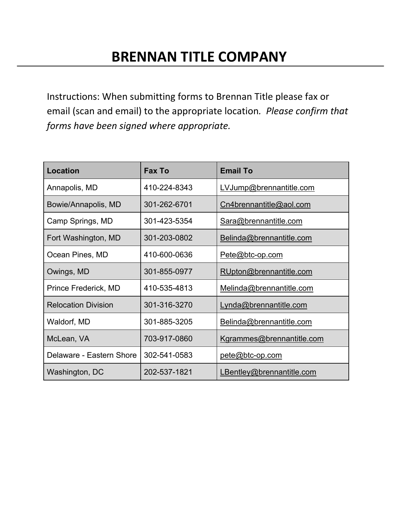Instructions: When submitting forms to Brennan Title please fax or email (scan and email) to the appropriate location*. Please confirm that forms have been signed where appropriate.*

| <b>Location</b>            | <b>Fax To</b> | <b>Email To</b>           |
|----------------------------|---------------|---------------------------|
| Annapolis, MD              | 410-224-8343  | LVJump@brennantitle.com   |
| Bowie/Annapolis, MD        | 301-262-6701  | Cn4brennantitle@aol.com   |
| Camp Springs, MD           | 301-423-5354  | Sara@brennantitle.com     |
| Fort Washington, MD        | 301-203-0802  | Belinda@brennantitle.com  |
| Ocean Pines, MD            | 410-600-0636  | Pete@btc-op.com           |
| Owings, MD                 | 301-855-0977  | RUpton@brennantitle.com   |
| Prince Frederick, MD       | 410-535-4813  | Melinda@brennantitle.com  |
| <b>Relocation Division</b> | 301-316-3270  | Lynda@brennantitle.com    |
| Waldorf, MD                | 301-885-3205  | Belinda@brennantitle.com  |
| McLean, VA                 | 703-917-0860  | Kgrammes@brennantitle.com |
| Delaware - Eastern Shore   | 302-541-0583  | pete@btc-op.com           |
| Washington, DC             | 202-537-1821  | LBentley@brennantitle.com |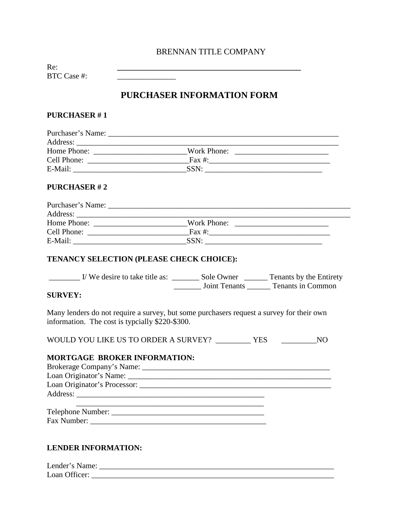# BRENNAN TITLE COMPANY

Re: **\_\_\_\_\_\_\_\_\_\_\_\_\_\_\_\_\_\_\_\_\_\_\_\_\_\_\_\_\_\_\_\_\_\_\_\_\_\_\_\_\_\_\_\_\_\_\_** BTC Case #:

# **PURCHASER INFORMATION FORM**

## **PURCHASER # 1**

| Purchaser's Name: |             |  |
|-------------------|-------------|--|
|                   |             |  |
| Home Phone:       | Work Phone: |  |
| Cell Phone:       | Fax #:      |  |
| E-Mail:           | SSN:        |  |

# **PURCHASER # 2**

| Purchaser's Name: |             |  |
|-------------------|-------------|--|
| Address:          |             |  |
| Home Phone:       | Work Phone: |  |
| Cell Phone:       | Fax $#$ :   |  |
| E-Mail:           | SSN:        |  |

### **TENANCY SELECTION (PLEASE CHECK CHOICE):**

| I/We desire to take title as: | Sole Owner           | Tenants by the Entirety |
|-------------------------------|----------------------|-------------------------|
|                               | <b>Joint Tenants</b> | Tenants in Common       |

## **SURVEY:**

Many lenders do not require a survey, but some purchasers request a survey for their own information. The cost is typcially \$220-\$300.

WOULD YOU LIKE US TO ORDER A SURVEY? \_\_\_\_\_\_\_\_\_\_ YES \_\_\_\_\_\_\_\_\_\_\_\_\_\_NO

#### **MORTGAGE BROKER INFORMATION:**

| Loan Originator's Name: Name: |  |
|-------------------------------|--|
|                               |  |
|                               |  |
|                               |  |
| Telephone Number:             |  |

Fax Number: \_\_\_\_\_\_\_\_\_\_\_\_\_\_\_\_\_\_\_\_\_\_\_\_\_\_\_\_\_\_\_\_\_\_\_\_\_\_\_\_\_\_\_\_\_

#### **LENDER INFORMATION:**

| Lender's Name: |  |
|----------------|--|
| Loan Officer:  |  |